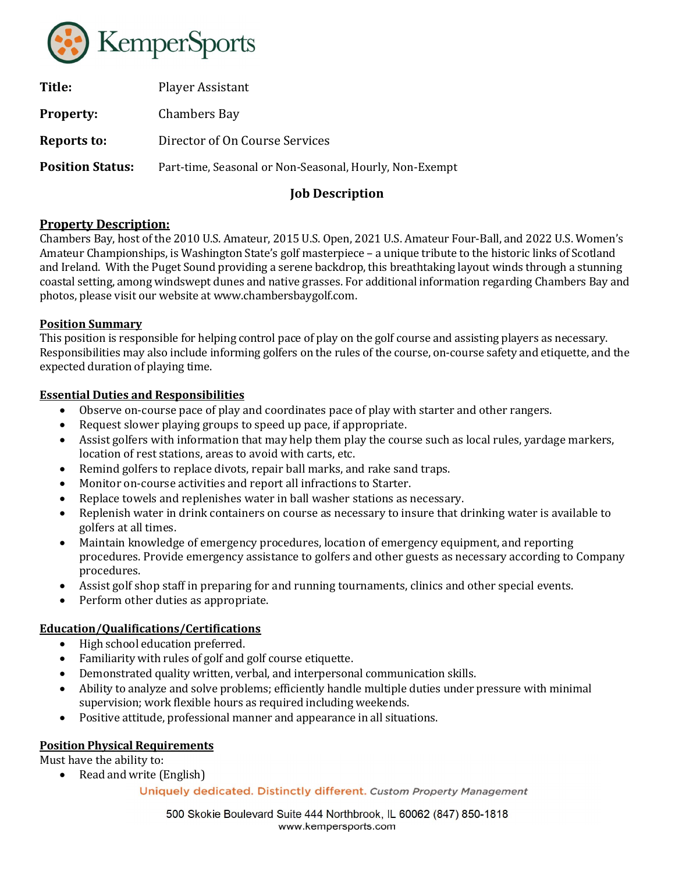

| Title:                  | Player Assistant                                        |
|-------------------------|---------------------------------------------------------|
| <b>Property:</b>        | Chambers Bay                                            |
| Reports to:             | Director of On Course Services                          |
| <b>Position Status:</b> | Part-time, Seasonal or Non-Seasonal, Hourly, Non-Exempt |
|                         |                                                         |

# Job Description

## Property Description:

Chambers Bay, host of the 2010 U.S. Amateur, 2015 U.S. Open, 2021 U.S. Amateur Four-Ball, and 2022 U.S. Women's Amateur Championships, is Washington State's golf masterpiece – a unique tribute to the historic links of Scotland and Ireland. With the Puget Sound providing a serene backdrop, this breathtaking layout winds through a stunning coastal setting, among windswept dunes and native grasses. For additional information regarding Chambers Bay and photos, please visit our website at www.chambersbaygolf.com.

### Position Summary

This position is responsible for helping control pace of play on the golf course and assisting players as necessary. Responsibilities may also include informing golfers on the rules of the course, on-course safety and etiquette, and the expected duration of playing time.

### Essential Duties and Responsibilities

- Observe on-course pace of play and coordinates pace of play with starter and other rangers.
- Request slower playing groups to speed up pace, if appropriate.
- Assist golfers with information that may help them play the course such as local rules, yardage markers, location of rest stations, areas to avoid with carts, etc.
- Remind golfers to replace divots, repair ball marks, and rake sand traps.
- Monitor on-course activities and report all infractions to Starter.
- Replace towels and replenishes water in ball washer stations as necessary.
- Replenish water in drink containers on course as necessary to insure that drinking water is available to golfers at all times.
- Maintain knowledge of emergency procedures, location of emergency equipment, and reporting procedures. Provide emergency assistance to golfers and other guests as necessary according to Company procedures.
- Assist golf shop staff in preparing for and running tournaments, clinics and other special events.
- Perform other duties as appropriate.

## Education/Qualifications/Certifications

- High school education preferred.
- Familiarity with rules of golf and golf course etiquette.
- Demonstrated quality written, verbal, and interpersonal communication skills.
- Ability to analyze and solve problems; efficiently handle multiple duties under pressure with minimal supervision; work flexible hours as required including weekends.
- Positive attitude, professional manner and appearance in all situations.

## Position Physical Requirements

Must have the ability to:

• Read and write (English)

### Uniquely dedicated. Distinctly different. Custom Property Management

500 Skokie Boulevard Suite 444 Northbrook, IL 60062 (847) 850-1818 www.kempersports.com